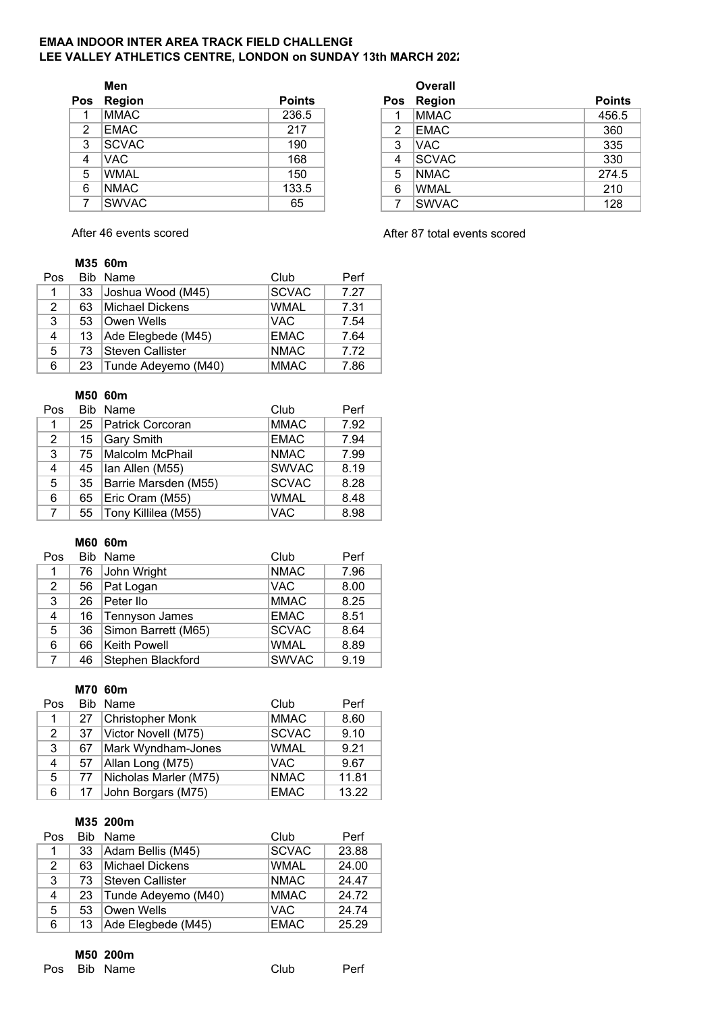#### **EMAA INDOOR INTER AREA TRACK FIELD CHALLENGE** LEE VALLEY ATHLETICS CENTRE, LONDON on SUNDAY 13th MARCH 202<sup>2</sup>

|                | Men          |               |  |     | <b>Overall</b> |               |
|----------------|--------------|---------------|--|-----|----------------|---------------|
| Pos            | Region       | <b>Points</b> |  | Pos | <b>Region</b>  | <b>Points</b> |
|                | <b>MMAC</b>  | 236.5         |  |     | <b>MMAC</b>    | 456.5         |
| $\overline{2}$ | EMAC         | 217           |  | 2   | <b>EMAC</b>    | 360           |
| 3              | <b>SCVAC</b> | 190           |  | 3   | VAC.           | 335           |
| 4              | VAC.         | 168           |  | 4   | <b>SCVAC</b>   | 330           |
| 5              | <b>WMAL</b>  | 150           |  | 5   | <b>NMAC</b>    | 274.5         |
| 6              | <b>NMAC</b>  | 133.5         |  | 6   | <b>WMAL</b>    | 210           |
| 7              | <b>SWVAC</b> | 65            |  | 7   | <b>SWVAC</b>   | 128           |

After 46 events scored **After 87 total events scored** 

## **M35 60m**

| Pos |    | Bib Name            | Club         | Perf |
|-----|----|---------------------|--------------|------|
| 1   | 33 | Joshua Wood (M45)   | <b>SCVAC</b> | 7.27 |
| 2   | 63 | Michael Dickens     | <b>WMAL</b>  | 7.31 |
| 3   | 53 | Owen Wells          | <b>VAC</b>   | 7.54 |
| 4   | 13 | Ade Elegbede (M45)  | <b>EMAC</b>  | 7.64 |
| 5   | 73 | Steven Callister    | <b>NMAC</b>  | 7.72 |
| 6   | 23 | Tunde Adeyemo (M40) | <b>MMAC</b>  | 7.86 |

#### **M50 60m**

| Pos            |    | Bib Name                  | Club         | Perf |
|----------------|----|---------------------------|--------------|------|
| 1              | 25 | Patrick Corcoran          | <b>MMAC</b>  | 7.92 |
| $\overline{2}$ | 15 | Gary Smith                | <b>EMAC</b>  | 7.94 |
| 3              | 75 | Malcolm McPhail           | <b>NMAC</b>  | 7.99 |
| 4              | 45 | lan Allen (M55)           | <b>SWVAC</b> | 8.19 |
| 5              |    | 35   Barrie Marsden (M55) | <b>SCVAC</b> | 8.28 |
| 6              | 65 | Eric Oram (M55)           | <b>WMAL</b>  | 8.48 |
| $7^{\circ}$    | 55 | Tony Killilea (M55)       | <b>VAC</b>   | 8.98 |

#### **M60 60m**

| Pos                   |    | Bib Name            | Club         | Perf |
|-----------------------|----|---------------------|--------------|------|
| 1                     | 76 | John Wright         | <b>NMAC</b>  | 7.96 |
| $\mathbf{2}^{\prime}$ | 56 | Pat Logan           | <b>VAC</b>   | 8.00 |
| 3                     | 26 | Peter Ilo           | <b>MMAC</b>  | 8.25 |
| 4                     | 16 | Tennyson James      | <b>EMAC</b>  | 8.51 |
| 5                     | 36 | Simon Barrett (M65) | <b>SCVAC</b> | 8.64 |
| 6                     | 66 | <b>Keith Powell</b> | <b>WMAL</b>  | 8.89 |
| 7                     | 46 | Stephen Blackford   | <b>SWVAC</b> | 9.19 |

# **M70 60m**

| Pos         |    | Bib Name              | Club         | Perf  |
|-------------|----|-----------------------|--------------|-------|
| $\mathbf 1$ | 27 | Christopher Monk      | <b>MMAC</b>  | 8.60  |
| 2           | 37 | Victor Novell (M75)   | <b>SCVAC</b> | 9.10  |
| 3           | 67 | Mark Wyndham-Jones    | <b>WMAL</b>  | 9.21  |
| 4           | 57 | Allan Long (M75)      | <b>VAC</b>   | 9.67  |
| 5.          | 77 | Nicholas Marler (M75) | <b>NMAC</b>  | 11.81 |
| 6           | 17 | John Borgars (M75)    | <b>EMAC</b>  | 13.22 |

# **M35 200m**

| Pos |    | Bib Name                 | Club         | Perf  |
|-----|----|--------------------------|--------------|-------|
| 1   | 33 | Adam Bellis (M45)        | <b>SCVAC</b> | 23.88 |
| 2   | 63 | Michael Dickens          | <b>WMAL</b>  | 24.00 |
| 3   | 73 | Steven Callister         | <b>NMAC</b>  | 24.47 |
| 4   |    | 23   Tunde Adeyemo (M40) | <b>MMAC</b>  | 24.72 |
| 5   | 53 | Owen Wells               | <b>VAC</b>   | 24.74 |
| 6   | 13 | Ade Elegbede (M45)       | <b>EMAC</b>  | 25.29 |

#### **M50 200m**

Pos Bib Name Club Perf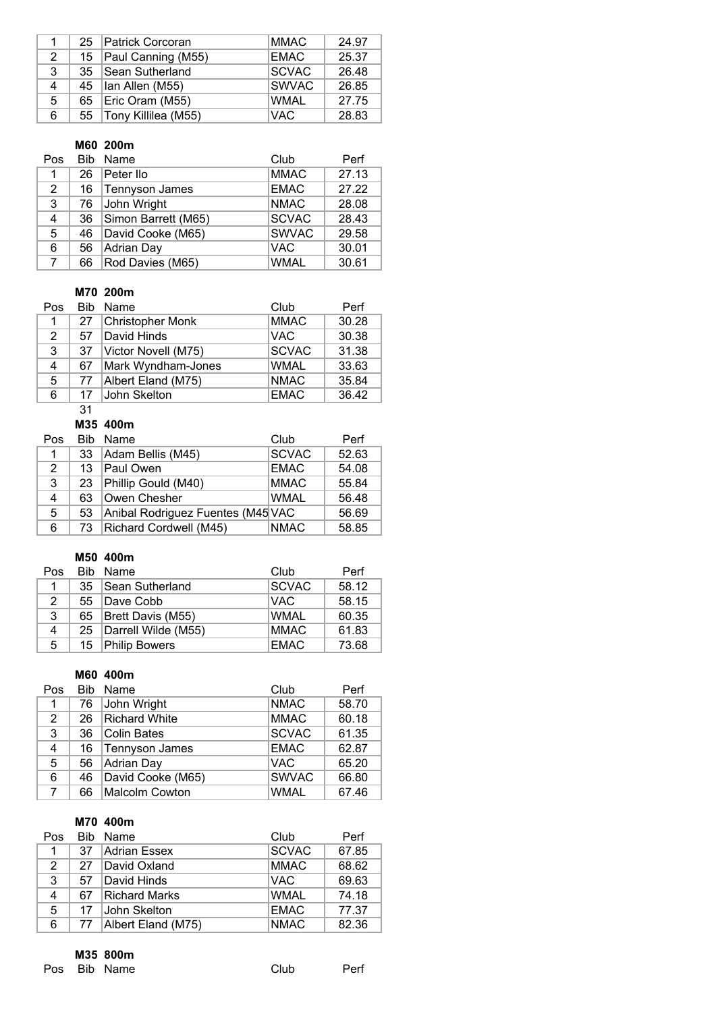|   | 25 | Patrick Corcoran    | <b>MMAC</b>  | 24.97 |
|---|----|---------------------|--------------|-------|
| 2 | 15 | Paul Canning (M55)  | <b>EMAC</b>  | 25.37 |
| 3 | 35 | Sean Sutherland     | <b>SCVAC</b> | 26.48 |
| 4 | 45 | lan Allen (M55)     | <b>SWVAC</b> | 26.85 |
| 5 | 65 | Eric Oram (M55)     | <b>WMAL</b>  | 27.75 |
| 6 | 55 | Tony Killilea (M55) | <b>VAC</b>   | 28.83 |

## **M60 200m**

| Pos         | <b>Bib</b> | Name                | Club         | Perf  |
|-------------|------------|---------------------|--------------|-------|
| 1           | 26         | Peter Ilo           | <b>MMAC</b>  | 27.13 |
| 2           | 16         | Tennyson James      | <b>EMAC</b>  | 27.22 |
| 3           | 76         | John Wright         | <b>NMAC</b>  | 28.08 |
| 4           | 36         | Simon Barrett (M65) | <b>SCVAC</b> | 28.43 |
| 5           | 46         | David Cooke (M65)   | <b>SWVAC</b> | 29.58 |
| 6           | 56         | Adrian Day          | <b>VAC</b>   | 30.01 |
| $7^{\circ}$ | 66         | Rod Davies (M65)    | <b>WMAL</b>  | 30.61 |

# **M70 200m**

| Pos |     | Bib Name                | Club         | Perf  |
|-----|-----|-------------------------|--------------|-------|
| 1   | 27  | <b>Christopher Monk</b> | <b>MMAC</b>  | 30.28 |
| 2   | 57  | David Hinds             | <b>VAC</b>   | 30.38 |
| 3   | 37  | Victor Novell (M75)     | <b>SCVAC</b> | 31.38 |
| 4   | 67  | Mark Wyndham-Jones      | <b>WMAL</b>  | 33.63 |
| 5   | -77 | Albert Eland (M75)      | <b>NMAC</b>  | 35.84 |
| 6   | 17  | John Skelton            | <b>EMAC</b>  | 36.42 |

# 31

# **M35 400m**

| Pos          | <b>Rib</b> | Name                              | Club         | Perf  |
|--------------|------------|-----------------------------------|--------------|-------|
| $\mathbf{1}$ | 33         | Adam Bellis (M45)                 | <b>SCVAC</b> | 52.63 |
| 2            | 13         | Paul Owen                         | <b>EMAC</b>  | 54.08 |
| 3            | 23         | Phillip Gould (M40)               | <b>MMAC</b>  | 55.84 |
| 4            | 63         | Owen Chesher                      | <b>WMAL</b>  | 56.48 |
| 5.           | 53         | Anibal Rodriguez Fuentes (M45 VAC |              | 56.69 |
| 6            | 73         | <b>Richard Cordwell (M45)</b>     | <b>NMAC</b>  | 58.85 |

#### **M50 400m**

| Pos |    | Bib Name             | Club         | Perf  |
|-----|----|----------------------|--------------|-------|
| 1   | 35 | Sean Sutherland      | <b>SCVAC</b> | 58.12 |
| 2   | 55 | Dave Cobb            | <b>VAC</b>   | 58.15 |
| 3   | 65 | Brett Davis (M55)    | <b>WMAL</b>  | 60.35 |
| 4   | 25 | Darrell Wilde (M55)  | <b>MMAC</b>  | 61.83 |
| 5   | 15 | <b>Philip Bowers</b> | <b>EMAC</b>  | 73.68 |

## **M60 400m**

| Pos | <b>Bib</b> | Name                 | Club         | Perf  |
|-----|------------|----------------------|--------------|-------|
| 1   | 76         | John Wright          | <b>NMAC</b>  | 58.70 |
| 2   | 26         | <b>Richard White</b> | <b>MMAC</b>  | 60.18 |
| 3   | 36         | Colin Bates          | <b>SCVAC</b> | 61.35 |
| 4   | 16         | Tennyson James       | <b>EMAC</b>  | 62.87 |
| 5   | 56         | Adrian Day           | <b>VAC</b>   | 65.20 |
| 6   | 46         | David Cooke (M65)    | <b>SWVAC</b> | 66.80 |
| 7   | 66         | Malcolm Cowton       | <b>WMAL</b>  | 67.46 |

# **M70 400m**

| Pos |    | Bib Name           | Club         | Perf  |
|-----|----|--------------------|--------------|-------|
|     | 37 | Adrian Essex       | <b>SCVAC</b> | 67.85 |
| 2   | 27 | David Oxland       | <b>MMAC</b>  | 68.62 |
| 3   | 57 | David Hinds        | <b>VAC</b>   | 69.63 |
| 4   | 67 | Richard Marks      | <b>WMAL</b>  | 74.18 |
| 5   | 17 | John Skelton       | <b>EMAC</b>  | 77.37 |
| 6   | 77 | Albert Eland (M75) | <b>NMAC</b>  | 82.36 |

#### **M35 800m**

Pos Bib Name Club Perf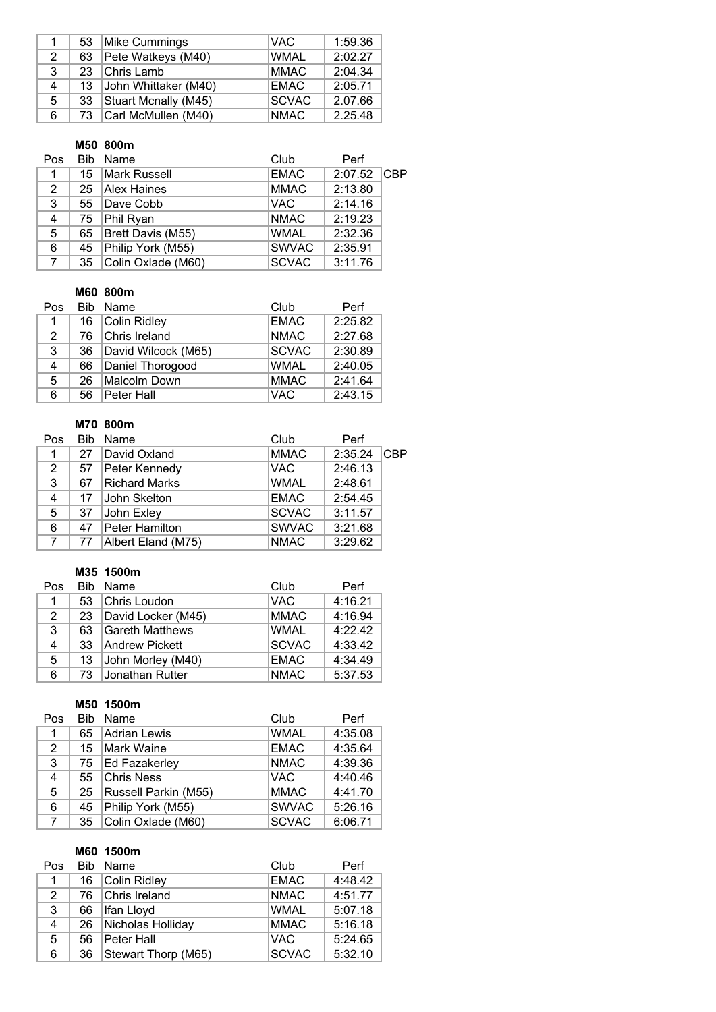|    | 53 | Mike Cummings        | <b>VAC</b>   | 1:59.36 |
|----|----|----------------------|--------------|---------|
| 2  | 63 | Pete Watkeys (M40)   | <b>WMAL</b>  | 2:02.27 |
| 3  | 23 | Chris Lamb           | <b>MMAC</b>  | 2:04.34 |
| 4  | 13 | John Whittaker (M40) | <b>EMAC</b>  | 2:05.71 |
| 5. | 33 | Stuart Mcnally (M45) | <b>SCVAC</b> | 2.07.66 |
| 6  | 73 | Carl McMullen (M40)  | <b>NMAC</b>  | 2.25.48 |

#### **M50 800m**

| <b>Pos</b>     |                 | Bib Name           | Club         | Perf    |     |
|----------------|-----------------|--------------------|--------------|---------|-----|
| 1.             | 15 <sup>1</sup> | Mark Russell       | <b>EMAC</b>  | 2:07.52 | CBP |
| 2              |                 | 25 Alex Haines     | <b>MMAC</b>  | 2:13.80 |     |
| 3              | 55              | Dave Cobb          | <b>VAC</b>   | 2:14.16 |     |
| $\overline{4}$ | 75              | Phil Ryan          | <b>NMAC</b>  | 2:19.23 |     |
| 5              | 65              | Brett Davis (M55)  | <b>WMAL</b>  | 2:32.36 |     |
| 6              | 45              | Philip York (M55)  | <b>SWVAC</b> | 2:35.91 |     |
| $\overline{7}$ | 35              | Colin Oxlade (M60) | <b>SCVAC</b> | 3:11.76 |     |

# **M60 800m**

| Pos            |    | Bib Name            | Club         | Perf    |
|----------------|----|---------------------|--------------|---------|
| $\mathbf{1}$   |    | 16 Colin Ridley     | <b>EMAC</b>  | 2:25.82 |
| 2              |    | 76 Chris Ireland    | <b>NMAC</b>  | 2:27.68 |
| 3              | 36 | David Wilcock (M65) | <b>SCVAC</b> | 2:30.89 |
| $\overline{4}$ | 66 | Daniel Thorogood    | <b>WMAL</b>  | 2:40.05 |
| 5              | 26 | Malcolm Down        | <b>MMAC</b>  | 2:41.64 |
| 6              | 56 | Peter Hall          | VAC          | 2:43.15 |

## **M70 800m**

| Pos | <b>Bib</b> | Name                 | Club         | Perf    |     |
|-----|------------|----------------------|--------------|---------|-----|
| 1   | 27         | David Oxland         | <b>MMAC</b>  | 2:35.24 | CBP |
| 2   | 57         | Peter Kennedy        | <b>VAC</b>   | 2:46.13 |     |
| 3   | 67         | <b>Richard Marks</b> | <b>WMAL</b>  | 2:48.61 |     |
| 4   | 17         | ∣John Skelton        | <b>EMAC</b>  | 2:54.45 |     |
| 5   | 37         | John Exley           | <b>SCVAC</b> | 3:11.57 |     |
| 6   | 47         | Peter Hamilton       | <b>SWVAC</b> | 3:21.68 |     |
|     | 77         | Albert Eland (M75)   | <b>NMAC</b>  | 3:29.62 |     |

## **M35 1500m**

| Pos | Bib. | Name                   | Club         | Perf    |
|-----|------|------------------------|--------------|---------|
| 1   | 53   | Chris Loudon           | <b>VAC</b>   | 4:16.21 |
| 2   | 23   | David Locker (M45)     | <b>MMAC</b>  | 4:16.94 |
| 3   | 63   | Gareth Matthews        | <b>WMAL</b>  | 4:22.42 |
| 4   | 33   | Andrew Pickett         | <b>SCVAC</b> | 4:33.42 |
| 5   | 13   | John Morley (M40)      | <b>EMAC</b>  | 4:34.49 |
| 6   | 73   | <b>Jonathan Rutter</b> | <b>NMAC</b>  | 5:37.53 |

# **M50 1500m**

| Pos            | <b>Bib</b> | Name                 | Club         | Perf    |
|----------------|------------|----------------------|--------------|---------|
| 1              | 65         | Adrian Lewis         | <b>WMAL</b>  | 4:35.08 |
| 2              | 15         | Mark Waine           | <b>EMAC</b>  | 4:35.64 |
| 3              | 75         | Ed Fazakerley        | <b>NMAC</b>  | 4:39.36 |
| 4              | 55         | <b>Chris Ness</b>    | <b>VAC</b>   | 4:40.46 |
| 5              | 25         | Russell Parkin (M55) | <b>MMAC</b>  | 4:41.70 |
| 6              | 45         | Philip York (M55)    | <b>SWVAC</b> | 5:26.16 |
| $\overline{7}$ | 35         | Colin Oxlade (M60)   | <b>SCVAC</b> | 6:06.71 |

# **M60 1500m**

| Pos |    | Bib Name            | Club         | Perf    |
|-----|----|---------------------|--------------|---------|
| 1   |    | 16 Colin Ridley     | <b>EMAC</b>  | 4:48.42 |
| 2   |    | 76 Chris Ireland    | <b>NMAC</b>  | 4:51.77 |
| 3   | 66 | Ifan Lloyd          | <b>WMAL</b>  | 5:07.18 |
| 4   | 26 | Nicholas Holliday   | <b>MMAC</b>  | 5:16.18 |
| 5   | 56 | Peter Hall          | <b>VAC</b>   | 5:24.65 |
| 6   | 36 | Stewart Thorp (M65) | <b>SCVAC</b> | 5:32.10 |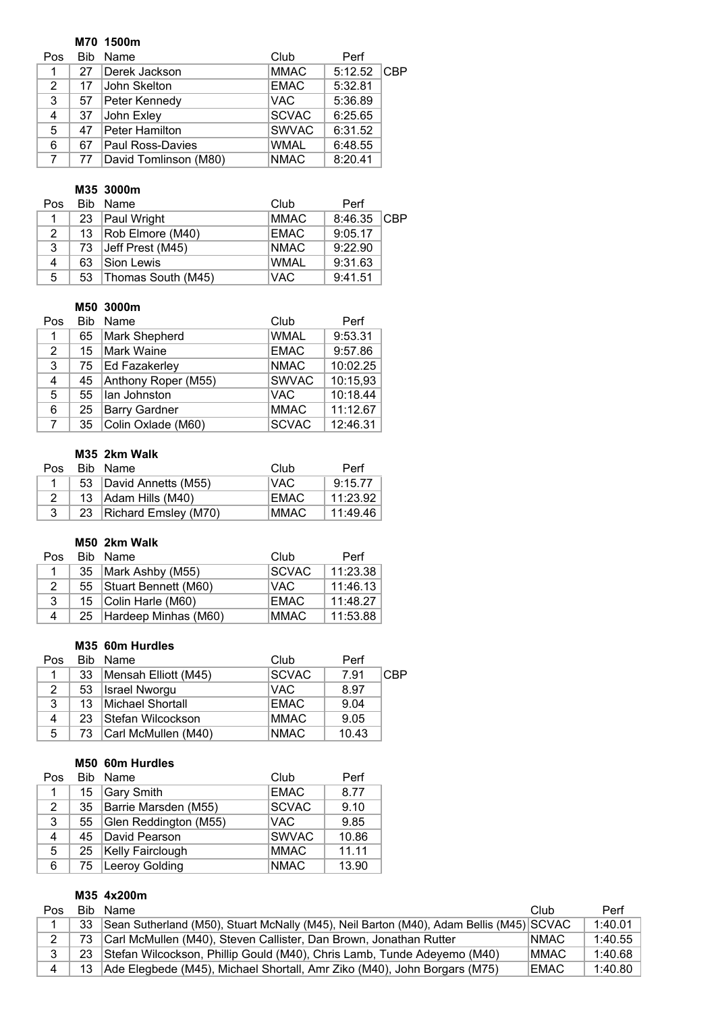## **M70 1500m**

| Pos | <b>Bib</b> | Name                    | Club         | Perf          |  |
|-----|------------|-------------------------|--------------|---------------|--|
|     | 27         | Derek Jackson           | <b>MMAC</b>  | $5:12.52$ CBP |  |
| 2   | 17         | John Skelton            | <b>EMAC</b>  | 5:32.81       |  |
| 3   | 57         | Peter Kennedy           | <b>VAC</b>   | 5:36.89       |  |
| 4   | 37         | John Exley              | SCVAC        | 6:25.65       |  |
| 5   | 47         | Peter Hamilton          | <b>SWVAC</b> | 6:31.52       |  |
| 6   | 67         | <b>Paul Ross-Davies</b> | <b>WMAL</b>  | 6:48.55       |  |
|     | 77         | David Tomlinson (M80)   | <b>NMAC</b>  | 8:20.41       |  |

# **M35 3000m**

| Pos. |    | Bib Name           | Club        | Perf        |  |
|------|----|--------------------|-------------|-------------|--|
|      |    | 23   Paul Wright   | <b>MMAC</b> | 8:46.35 CBP |  |
| 2    | 13 | Rob Elmore (M40)   | <b>EMAC</b> | 9:05.17     |  |
| 3    | 73 | Jeff Prest (M45)   | <b>NMAC</b> | 9:22.90     |  |
| 4    | 63 | Sion Lewis         | <b>WMAL</b> | 9:31.63     |  |
| 5    | 53 | Thomas South (M45) | <b>VAC</b>  | 9:41.51     |  |

## **M50 3000m**

| Pos         | <b>Bib</b> | Name                 | Club         | Perf     |
|-------------|------------|----------------------|--------------|----------|
| 1           | 65         | Mark Shepherd        | <b>WMAL</b>  | 9:53.31  |
| 2           | 15         | <b>Mark Waine</b>    | <b>EMAC</b>  | 9:57.86  |
| 3           |            | 75 Ed Fazakerley     | <b>NMAC</b>  | 10:02.25 |
| 4           | 45         | Anthony Roper (M55)  | <b>SWVAC</b> | 10:15,93 |
| 5           | 55         | Ian Johnston         | <b>VAC</b>   | 10:18.44 |
| 6           | 25         | <b>Barry Gardner</b> | <b>MMAC</b>  | 11:12.67 |
| $7^{\circ}$ | 35         | Colin Oxlade (M60)   | <b>SCVAC</b> | 12:46.31 |

# **M35 2km Walk**

| Pos. | Bib Name                  | Club        | Perf     |
|------|---------------------------|-------------|----------|
|      | 53   David Annetts (M55)  | √AC         | 9:15.77  |
|      | 13 Adam Hills (M40)       | EMAC.       | 11:23.92 |
|      | 23   Richard Emsley (M70) | <b>MMAC</b> | 11:49.46 |

# **M50 2km Walk**

| Pos. |                            | Bib Name                  | Club         | Perf     |
|------|----------------------------|---------------------------|--------------|----------|
|      |                            | 35   Mark Ashby (M55)     | <b>SCVAC</b> | 11:23.38 |
| 2    | Stuart Bennett (M60)<br>55 |                           | VAC.         | 11:46.13 |
| 3    | 15   Colin Harle (M60)     |                           | EMAC         | 11:48.27 |
| 4    |                            | 25   Hardeep Minhas (M60) | <b>MMAC</b>  | 11:53.88 |

# **M35 60m Hurdles**

| Pos |    | Bib Name             | Club         | Perf  |     |
|-----|----|----------------------|--------------|-------|-----|
|     | 33 | Mensah Elliott (M45) | <b>SCVAC</b> | 7.91  | CBP |
| 2   | 53 | <b>Israel Nworgu</b> | VAC.         | 8.97  |     |
| 3   | 13 | Michael Shortall     | <b>EMAC</b>  | 9.04  |     |
| 4   | 23 | Stefan Wilcockson    | <b>MMAC</b>  | 9.05  |     |
| 5   | 73 | Carl McMullen (M40)  | <b>NMAC</b>  | 10.43 |     |

### **M50 60m Hurdles**

| Pos                   |    | Bib Name                | Club         | Perf  |
|-----------------------|----|-------------------------|--------------|-------|
| 1                     | 15 | Gary Smith              | <b>EMAC</b>  | 8.77  |
| $\mathbf{2}^{\prime}$ | 35 | Barrie Marsden (M55)    | <b>SCVAC</b> | 9.10  |
| 3                     | 55 | Glen Reddington (M55)   | <b>VAC</b>   | 9.85  |
| 4                     | 45 | David Pearson           | <b>SWVAC</b> | 10.86 |
| 5                     | 25 | <b>Kelly Fairclough</b> | <b>MMAC</b>  | 11.11 |
| 6                     | 75 | Leeroy Golding          | <b>NMAC</b>  | 13.90 |

# **M35 4x200m**

| Pos            | Bib | Name                                                                                    | Club        | Perf    |
|----------------|-----|-----------------------------------------------------------------------------------------|-------------|---------|
|                | 33  | Sean Sutherland (M50), Stuart McNally (M45), Neil Barton (M40), Adam Bellis (M45) SCVAC |             | 1:40.01 |
| $\overline{2}$ | 73  | Carl McMullen (M40), Steven Callister, Dan Brown, Jonathan Rutter                       | <b>NMAC</b> | 1:40.55 |
| 3              | 23  | Stefan Wilcockson, Phillip Gould (M40), Chris Lamb, Tunde Adeyemo (M40)                 | <b>MMAC</b> | 1:40.68 |
|                |     | 13 Ade Elegbede (M45), Michael Shortall, Amr Ziko (M40), John Borgars (M75)             | <b>EMAC</b> | 1:40.80 |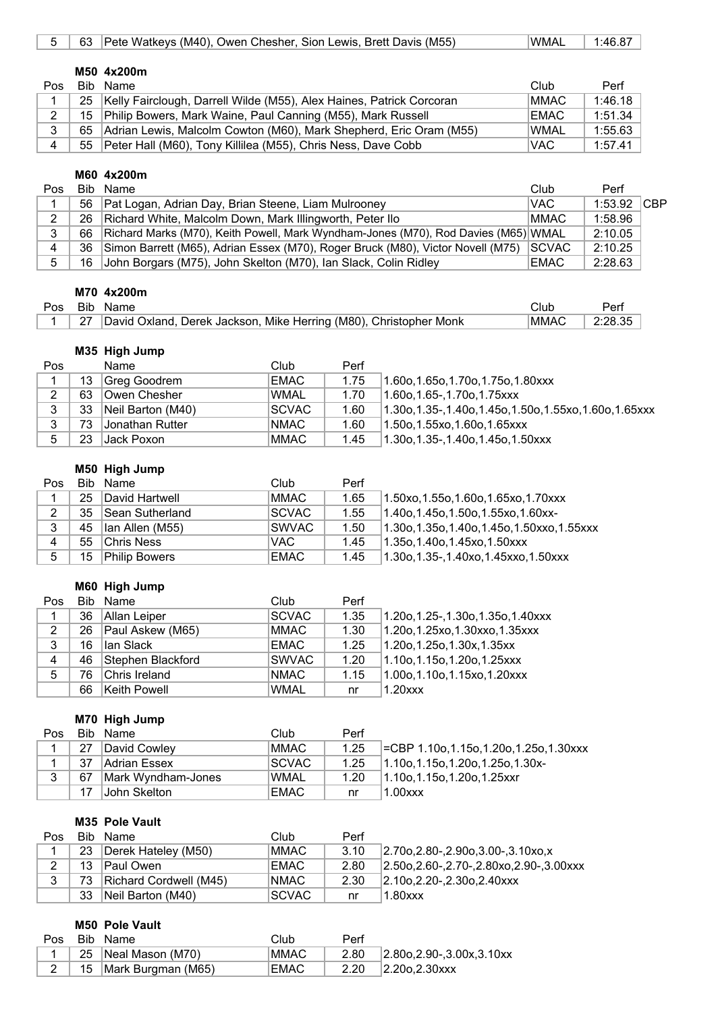| 5   | 63   | Pete Watkeys (M40), Owen Chesher, Sion Lewis, Brett Davis (M55)      | <b>WMAL</b> | 1:46.87 |
|-----|------|----------------------------------------------------------------------|-------------|---------|
|     |      |                                                                      |             |         |
|     |      | M50 4x200m                                                           |             |         |
| Pos | Bib. | Name                                                                 | Club        | Perf    |
|     | 25   | Kelly Fairclough, Darrell Wilde (M55), Alex Haines, Patrick Corcoran | <b>MMAC</b> | 1:46.18 |
| 2   | 15   | Philip Bowers, Mark Waine, Paul Canning (M55), Mark Russell          | <b>EMAC</b> | 1:51.34 |
| 3   | 65   | Adrian Lewis, Malcolm Cowton (M60), Mark Shepherd, Eric Oram (M55)   | <b>WMAL</b> | 1:55.63 |
| 4   | 55   | Peter Hall (M60), Tony Killilea (M55), Chris Ness, Dave Cobb         | VAC.        | 1:57.41 |

#### **M60 4x200m**

| Pos |    | Bib Name                                                                                | Club          | Perf          |  |
|-----|----|-----------------------------------------------------------------------------------------|---------------|---------------|--|
|     |    | 56   Pat Logan, Adrian Day, Brian Steene, Liam Mulrooney                                | <b>VAC</b>    | $1:53.92$ CBP |  |
| ົ   |    | 26 Richard White, Malcolm Down, Mark Illingworth, Peter Ilo                             | <b>MMAC</b>   | 1:58.96       |  |
| 3   |    | 66   Richard Marks (M70), Keith Powell, Mark Wyndham-Jones (M70), Rod Davies (M65) WMAL |               | 2:10.05       |  |
|     | 36 | Simon Barrett (M65), Adrian Essex (M70), Roger Bruck (M80), Victor Novell (M75)         | <b>ISCVAC</b> | 2:10.25       |  |
| 5.  |    | 16 John Borgars (M75), John Skelton (M70), Ian Slack, Colin Ridley                      | <b>EMAC</b>   | 2:28.63       |  |

## **M70 4x200m**

| Pos | Bib  |                                                                           | ાેub | Perl |
|-----|------|---------------------------------------------------------------------------|------|------|
|     | - 27 | , Mike Herring (M80), Christopher Monk<br>David Oxland.<br>Derek Jackson. | MMA0 |      |

## **M35 High Jump**

| Pos |    | Name                   | Club         | Perf |                                                              |
|-----|----|------------------------|--------------|------|--------------------------------------------------------------|
|     | 13 | Greg Goodrem           | <b>EMAC</b>  | 1.75 | (1.60o, 1.65o, 1.70o, 1.75o, 1.80xxx)                        |
| ົ   | 63 | <b>Owen Chesher</b>    | <b>WMAL</b>  | 1.70 | 1.60o.1.65-.1.70o.1.75xxx                                    |
| 3   | 33 | Neil Barton (M40)      | <b>SCVAC</b> | 1.60 | $1.30$ o, 1.35-, 1.40o, 1.45o, 1.50o, 1.55xo, 1.60o, 1.65xxx |
| າ   | 73 | <b>Jonathan Rutter</b> | <b>NMAC</b>  | 1.60 | 1.50o,1.55xo,1.60o,1.65xxx                                   |
|     | 23 | IJack Poxon I          | MMAC         | 1.45 | 1.30o,1.35-,1.40o,1.45o,1.50xxx                              |

### **M50 High Jump**

| Pos |    | Bib Name             | Club          | Perf |                                              |
|-----|----|----------------------|---------------|------|----------------------------------------------|
|     | 25 | David Hartwell       | MMAC.         | 1.65 | 1.50xo, 1.55o, 1.60o, 1.65xo, 1.70xxx        |
| 2   | 35 | Sean Sutherland      | <b>SCVAC</b>  | 1.55 | $1.40$ o, 1.45o, 1.50o, 1.55xo, 1.60xx-      |
| 3   |    | 45   Ian Allen (M55) | <b>ISWVAC</b> | 1.50 | 1.30o, 1.35o, 1.40o, 1.45o, 1.50xxo, 1.55xxx |
| 4   |    | 55 Chris Ness        | VAC.          | 1.45 | $1.35$ o, 1.40o, 1.45xo, 1.50xxx             |
| 5   | 15 | <b>Philip Bowers</b> | <b>EMAC</b>   | 1.45 | $1.30$ o, 1.35-, 1.40xo, 1.45xxo, 1.50xxx    |

# **M60 High Jump**

| Pos |    | Bib Name               | Club         | Perf |                                     |
|-----|----|------------------------|--------------|------|-------------------------------------|
| 1   |    | 36 Allan Leiper        | <b>SCVAC</b> | 1.35 | 1.20o, 1.25-, 1.30o, 1.35o, 1.40xxx |
| 2   |    | 26   Paul Askew (M65)  | MMAC         | 1.30 | $1.20$ o, 1.25xo, 1.30xxo, 1.35xxx  |
| 3   | 16 | Han Slack              | EMAC         | 1.25 | $1.20$ o, 1.25o, 1.30x, 1.35xx      |
| 4   |    | 46   Stephen Blackford | <b>SWVAC</b> | 1.20 | 1.10o,1.15o,1.20o,1.25xxx           |
| 5   | 76 | Chris Ireland          | <b>NMAC</b>  | 1.15 | $1.00$ o, 1.10o, 1.15xo, 1.20xxx    |
|     |    | 66 Keith Powell        | <b>WMAL</b>  | nr   | $1.20$ $xx$                         |

## **M70 High Jump**

| Pos |    | Bib Name           | Club         | Perf |                                       |
|-----|----|--------------------|--------------|------|---------------------------------------|
|     | 27 | David Cowley       | MMAC         | 1.25 | ECBP 1.10o,1.15o,1.20o,1.25o,1.30xxx  |
|     | 37 | Adrian Essex       | <b>SCVAC</b> | 1.25 | $1.10$ o, 1.15o, 1.20o, 1.25o, 1.30x- |
| 3   | 67 | Mark Wyndham-Jones | 'WMAL        | 1.20 | $1.10$ o, 1.15o, 1.20o, 1.25xxr       |
|     | 17 | John Skelton       | <b>EMAC</b>  | nr   | 1.00xxx                               |

## **M35 Pole Vault**

| Pos | Bib | Name                   | Club         | Perf |                                                      |
|-----|-----|------------------------|--------------|------|------------------------------------------------------|
|     | 23  | Derek Hateley (M50)    | MMAC         | 3.10 | $2.70$ o, $2.80$ -, $2.90$ o, $3.00$ -, $3.10x$ o, x |
| 2   | 13  | Paul Owen              | EMAC         | 2.80 | $2.50$ o, 2.60-, 2.70-, 2.80xo, 2.90-, 3.00xxx       |
| 3   | 73  | Richard Cordwell (M45) | <b>NMAC</b>  | 2.30 | $ 2.10$ o. $2.20$ -. $2.30$ o. $2.40$ xxx            |
|     | 33  | Neil Barton (M40)      | <b>SCVAC</b> | nr   | $1.80$ xxx                                           |

#### **M50 Pole Vault**

|  | Pos Bib Name            | Club        | Perf |                                          |
|--|-------------------------|-------------|------|------------------------------------------|
|  | ⊺ 25 Neal Mason (M70)   | <b>MMAC</b> | 2.80 | $ 2.80$ o, $2.90$ -, $3.00$ x, $3.10$ xx |
|  | 15   Mark Burgman (M65) | <b>EMAC</b> | 2.20 | $ 2.20$ o. $2.30$ xxx                    |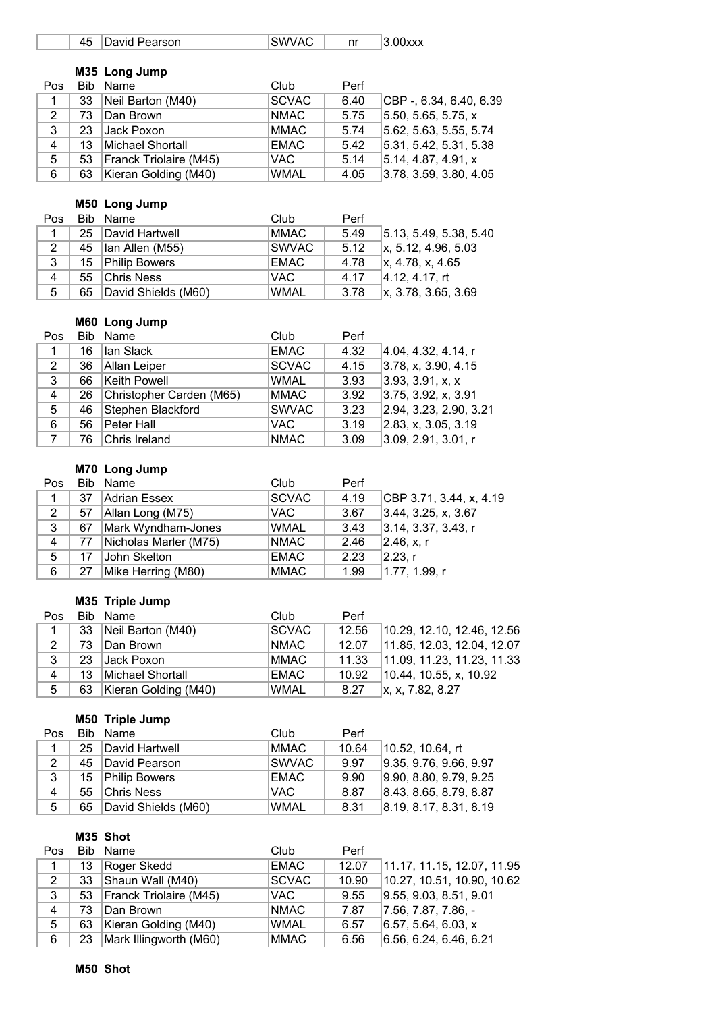| 45 David Pearson | ISWVAC. | $ 3.00$ xxx |
|------------------|---------|-------------|
|                  |         |             |
| M35 Long Jump    |         |             |

| Pos         |    | Bib Name                    | Club         | Perf |                         |
|-------------|----|-----------------------------|--------------|------|-------------------------|
| $\mathbf 1$ | 33 | Neil Barton (M40)           | <b>SCVAC</b> | 6.40 | CBP -, 6.34, 6.40, 6.39 |
| 2           | 73 | Dan Brown                   | <b>NMAC</b>  | 5.75 | 5.50, 5.65, 5.75, x     |
| 3           |    | 23 Jack Poxon               | <b>MMAC</b>  | 5.74 | 5.62, 5.63, 5.55, 5.74  |
| 4           | 13 | Michael Shortall            | <b>EMAC</b>  | 5.42 | 5.31, 5.42, 5.31, 5.38  |
| 5           |    | 53   Franck Triolaire (M45) | VAC.         | 5.14 | 5.14. 4.87. 4.91. x     |
| 6           |    | 63   Kieran Golding (M40)   | <b>WMAL</b>  | 4.05 | 3.78, 3.59, 3.80, 4.05  |

# **M50 Long Jump**

| Pos.           |    | Bib Name            | Club          | Perf |                             |
|----------------|----|---------------------|---------------|------|-----------------------------|
|                | 25 | David Hartwell      | <b>MMAC</b>   | 5.49 | 5.13, 5.49, 5.38, 5.40      |
| 2              | 45 | Ian Allen (M55)     | <b>ISWVAC</b> | 5.12 | $\vert$ x, 5.12, 4.96, 5.03 |
| 3              |    | 15 Philip Bowers    | <b>EMAC</b>   | 4.78 | x, 4.78, x, 4.65            |
| $\overline{4}$ | 55 | <b>Chris Ness</b>   | VAC.          | 4.17 | 4.12, 4.17, rt              |
| 5              | 65 | David Shields (M60) | <b>WMAL</b>   | 3.78 | $\vert$ x, 3.78, 3.65, 3.69 |

#### **M60 Long Jump**

| Pos            |    | Bib Name                 | Club         | Perf |                        |
|----------------|----|--------------------------|--------------|------|------------------------|
| 1              | 16 | lan Slack                | <b>EMAC</b>  | 4.32 | 4.04, 4.32, 4.14, r    |
| 2              | 36 | Allan Leiper             | <b>SCVAC</b> | 4.15 | 3.78, x, 3.90, 4.15    |
| 3              | 66 | Keith Powell             | <b>WMAL</b>  | 3.93 | 3.93, 3.91, x, x       |
| $\overline{4}$ | 26 | Christopher Carden (M65) | <b>MMAC</b>  | 3.92 | 3.75, 3.92, x, 3.91    |
| 5              | 46 | Stephen Blackford        | <b>SWVAC</b> | 3.23 | 2.94, 3.23, 2.90, 3.21 |
| 6              | 56 | Peter Hall               | VAC.         | 3.19 | 2.83, x, 3.05, 3.19    |
|                | 76 | Chris Ireland            | <b>NMAC</b>  | 3.09 | 3.09, 2.91, 3.01, r    |

# **M70 Long Jump**

| Pos            |    | Bib Name              | Club         | Perf |                         |
|----------------|----|-----------------------|--------------|------|-------------------------|
|                | 37 | Adrian Essex          | <b>SCVAC</b> | 4.19 | CBP 3.71, 3.44, x, 4.19 |
| 2              | 57 | Allan Long (M75)      | <b>VAC</b>   | 3.67 | 3.44, 3.25, x, 3.67     |
| 3              | 67 | Mark Wyndham-Jones    | <b>WMAL</b>  | 3.43 | 3.14, 3.37, 3.43, r     |
| $\overline{4}$ | 77 | Nicholas Marler (M75) | <b>NMAC</b>  | 2.46 | 2.46, x, r              |
| 5              | 17 | John Skelton          | <b>EMAC</b>  | 2.23 | $ 2.23 $ r              |
| 6              | 27 | Mike Herring (M80)    | <b>MMAC</b>  | 1.99 | 1.77, 1.99, r           |

## **M35 Triple Jump**

| Pos |     | Bib Name                  | Club         | Perf  |                            |
|-----|-----|---------------------------|--------------|-------|----------------------------|
|     |     | 33 Neil Barton (M40)      | <b>SCVAC</b> | 12.56 | 10.29, 12.10, 12.46, 12.56 |
| 2   | 73. | Dan Brown                 | <b>NMAC</b>  | 12.07 | 11.85, 12.03, 12.04, 12.07 |
| 3   | 23  | Jack Poxon                | MMAC         |       |                            |
| 4   | 13  | Michael Shortall          | <b>EMAC</b>  | 10.92 | 10.44, 10.55, x, 10.92     |
| 5   |     | 63   Kieran Golding (M40) | <b>WMAL</b>  | 8.27  | x, x, 7.82, 8.27           |

## **M50 Triple Jump**

| Pos            |    | Bib Name            | Club        | Perf  |                        |
|----------------|----|---------------------|-------------|-------|------------------------|
|                | 25 | David Hartwell      | MMAC        | 10.64 | 10.52, 10.64, rt       |
| 2              | 45 | David Pearson       | SWVAC       | 9.97  | 9.35, 9.76, 9.66, 9.97 |
| 3              |    | 15 Philip Bowers    | EMAC        | 9.90  | 9.90, 8.80, 9.79, 9.25 |
| $\overline{4}$ | 55 | <b>Chris Ness</b>   | <b>VAC</b>  | 8.87  | 8.43, 8.65, 8.79, 8.87 |
| 5              | 65 | David Shields (M60) | <b>WMAL</b> | 8.31  | 8.19, 8.17, 8.31, 8.19 |

# **M35 Shot**

| Pos          |    | Bib Name               | Club         | Perf  |                            |
|--------------|----|------------------------|--------------|-------|----------------------------|
| $\mathbf{1}$ | 13 | Roger Skedd            | <b>EMAC</b>  | 12.07 | 11.17, 11.15, 12.07, 11.95 |
| 2            | 33 | Shaun Wall (M40)       | <b>SCVAC</b> | 10.90 | 10.27, 10.51, 10.90, 10.62 |
| 3            | 53 | Franck Triolaire (M45) | VAC.         | 9.55  | 9.55, 9.03, 8.51, 9.01     |
| 4            | 73 | Dan Brown              | <b>NMAC</b>  | 7.87  | $ 7.56, 7.87, 7.86, -$     |
| 5            | 63 | Kieran Golding (M40)   | <b>WMAL</b>  | 6.57  | 6.57, 5.64, 6.03, x        |
| 6            | 23 | Mark Illingworth (M60) | <b>MMAC</b>  | 6.56  | 6.56, 6.24, 6.46, 6.21     |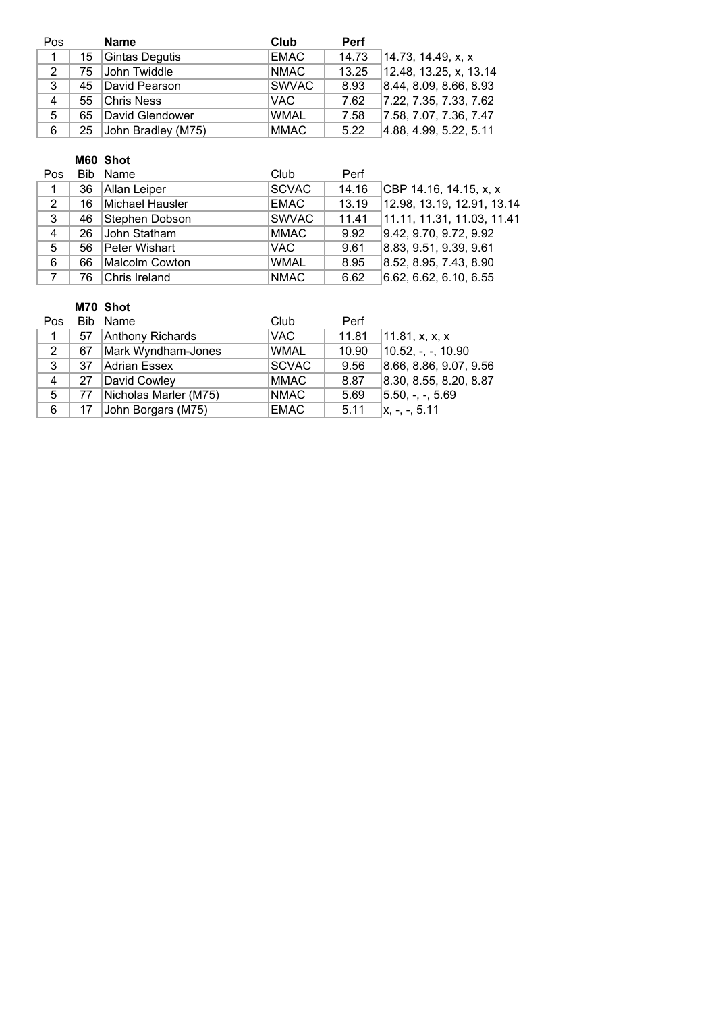| Pos            |    | <b>Name</b>           | Club         | <b>Perf</b> |                        |
|----------------|----|-----------------------|--------------|-------------|------------------------|
| $\mathbf{1}$   | 15 | Gintas Degutis        | EMAC         | 14.73       | 14.73, 14.49, x, x     |
| 2              |    | 75 John Twiddle       | <b>NMAC</b>  | 13.25       | 12.48, 13.25, x, 13.14 |
| 3              |    | 45 David Pearson      | <b>SWVAC</b> | 8.93        | 8.44, 8.09, 8.66, 8.93 |
| $\overline{4}$ |    | 55 Chris Ness         | VAC.         | 7.62        | 7.22, 7.35, 7.33, 7.62 |
| 5              |    | 65 David Glendower    | <b>WMAL</b>  | 7.58        | 7.58, 7.07, 7.36, 7.47 |
| 6              |    | 25 John Bradley (M75) | <b>MMAC</b>  | 5.22        | 4.88, 4.99, 5.22, 5.11 |

#### **M60 Shot**

| Pos |    | Bib Name        | Club         | Perf  |                            |
|-----|----|-----------------|--------------|-------|----------------------------|
| 1   | 36 | Allan Leiper    | <b>SCVAC</b> | 14.16 | CBP 14.16, 14.15, x, x     |
| 2   | 16 | Michael Hausler | EMAC         | 13.19 | 12.98, 13.19, 12.91, 13.14 |
| 3   | 46 | Stephen Dobson  | <b>SWVAC</b> | 11.41 | 11.11, 11.31, 11.03, 11.41 |
| 4   | 26 | John Statham    | <b>MMAC</b>  | 9.92  | 9.42, 9.70, 9.72, 9.92     |
| 5   | 56 | Peter Wishart   | VAC.         | 9.61  | 8.83, 9.51, 9.39, 9.61     |
| 6   | 66 | Malcolm Cowton  | <b>WMAL</b>  | 8.95  | 8.52, 8.95, 7.43, 8.90     |
| 7   | 76 | Chris Ireland   | <b>NMAC</b>  | 6.62  | 6.62, 6.62, 6.10, 6.55     |

## **M70 Shot**

| Pos            |    | Bib Name              | Club         | Perf  |                        |
|----------------|----|-----------------------|--------------|-------|------------------------|
|                | 57 | Anthony Richards      | <b>VAC</b>   | 11.81 | 11.81, x, x, x         |
| 2              | 67 | Mark Wyndham-Jones    | <b>WMAL</b>  | 10.90 | $10.52, -, -, 10.90$   |
| 3              | 37 | Adrian Essex          | <b>SCVAC</b> | 9.56  | 8.66, 8.86, 9.07, 9.56 |
| $\overline{4}$ | 27 | David Cowley          | <b>MMAC</b>  | 8.87  | 8.30, 8.55, 8.20, 8.87 |
| 5              | 77 | Nicholas Marler (M75) | <b>NMAC</b>  | 5.69  | $ 5.50, -, -, 5.69 $   |
| 6              |    | John Borgars (M75)    | <b>EMAC</b>  | 5.11  | $x, -, -, 5.11$        |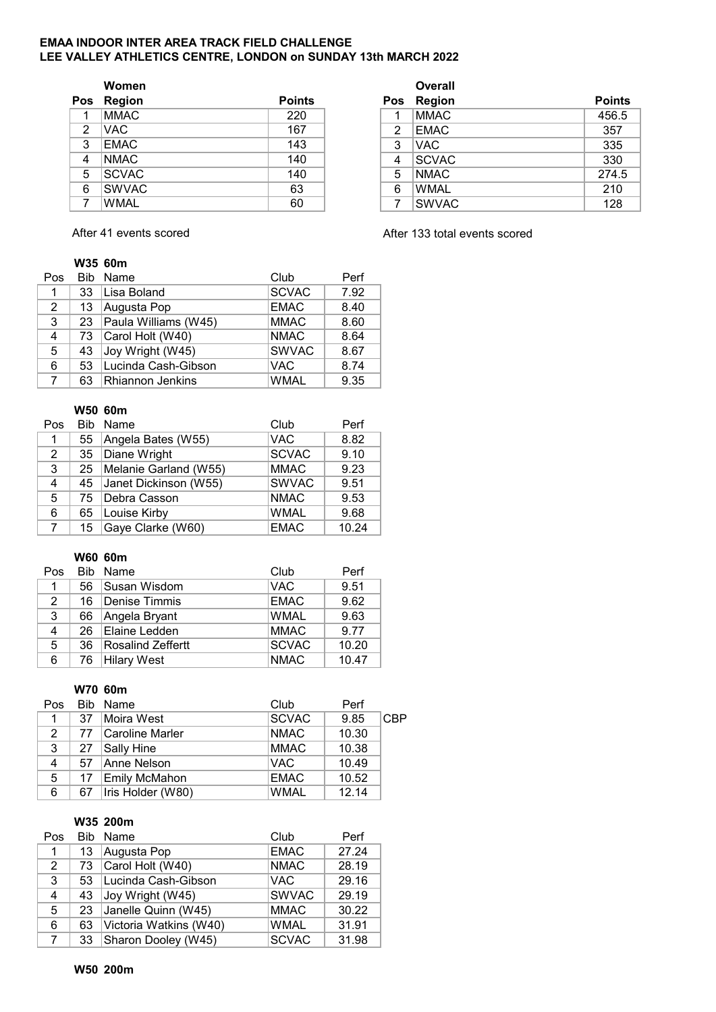#### **EMAA INDOOR INTER AREA TRACK FIELD CHALLENGE LEE VALLEY ATHLETICS CENTRE, LONDON on SUNDAY 13th MARCH 2022**

|     | Women         |               |
|-----|---------------|---------------|
| Pos | <b>Region</b> | <b>Points</b> |
| 1   | <b>MMAC</b>   | 220           |
| 2   | <b>VAC</b>    | 167           |
| 3   | <b>EMAC</b>   | 143           |
| 4   | <b>NMAC</b>   | 140           |
| 5   | <b>SCVAC</b>  | 140           |
| 6   | <b>SWVAC</b>  | 63            |
|     | <b>WMAL</b>   | 60            |

**Overall Pos Region Points Pos Region Points** 1 |MMAC | 220 | | 1 |MMAC | 456.5 2 VAC 167 2 EMAC 357 3 EMAC 143 3 VAC 335 4 NMAC 140 4 SCVAC 330 5 SCVAC 140 | 16 NMAC 274.5 6 SWVAC | 63 | | 6 |WMAL | 210 7 WMAL 60 7 SWVAC 128

## **W35 60m**

| Pos |    | Bib Name                  | Club         | Perf |
|-----|----|---------------------------|--------------|------|
| 1   | 33 | Lisa Boland               | <b>SCVAC</b> | 7.92 |
| 2   | 13 | Augusta Pop               | <b>EMAC</b>  | 8.40 |
| 3   |    | 23   Paula Williams (W45) | <b>MMAC</b>  | 8.60 |
| 4   | 73 | Carol Holt (W40)          | <b>NMAC</b>  | 8.64 |
| 5   | 43 | Joy Wright (W45)          | <b>SWVAC</b> | 8.67 |
| 6   | 53 | Lucinda Cash-Gibson       | <b>VAC</b>   | 8.74 |
| 7   | 63 | <b>Rhiannon Jenkins</b>   | <b>WMAL</b>  | 9.35 |

#### **W50 60m**

| Pos            | <b>Rib</b> | Name                     | Club         | Perf  |
|----------------|------------|--------------------------|--------------|-------|
| 1              | 55         | Angela Bates (W55)       | <b>VAC</b>   | 8.82  |
| 2              | 35         | Diane Wright             | <b>SCVAC</b> | 9.10  |
| 3              | 25         | Melanie Garland (W55)    | <b>MMAC</b>  | 9.23  |
| 4              |            | 45 Janet Dickinson (W55) | <b>SWVAC</b> | 9.51  |
| 5              |            | 75   Debra Casson        | <b>NMAC</b>  | 9.53  |
| 6              | 65         | Louise Kirby             | <b>WMAL</b>  | 9.68  |
| $\overline{7}$ | 15         | Gaye Clarke (W60)        | <b>EMAC</b>  | 10.24 |

## **W60 60m**

| Pos |    | Bib Name                 | Club         | Perf  |
|-----|----|--------------------------|--------------|-------|
| 1.  | 56 | Susan Wisdom             | <b>VAC</b>   | 9.51  |
| 2   | 16 | Denise Timmis            | <b>EMAC</b>  | 9.62  |
| 3   | 66 | Angela Bryant            | <b>WMAL</b>  | 9.63  |
| 4   |    | 26 Elaine Ledden         | <b>MMAC</b>  | 9.77  |
| 5   | 36 | <b>Rosalind Zeffertt</b> | <b>SCVAC</b> | 10.20 |
| 6   | 76 | Hilary West              | <b>NMAC</b>  | 10.47 |

## **W70 60m**

| Pos         |    | Bib Name             | Club         | Perf  |     |
|-------------|----|----------------------|--------------|-------|-----|
| 1           | 37 | Moira West           | <b>SCVAC</b> | 9.85  | CBP |
| $2^{\circ}$ | 77 | Caroline Marler      | <b>NMAC</b>  | 10.30 |     |
| 3           | 27 | Sally Hine           | <b>MMAC</b>  | 10.38 |     |
| 4           | 57 | Anne Nelson          | <b>VAC</b>   | 10.49 |     |
| 5           | 17 | <b>Emily McMahon</b> | <b>EMAC</b>  | 10.52 |     |
| 6           | 67 | Iris Holder (W80)    | <b>WMAL</b>  | 12.14 |     |

## **W35 200m**

| Pos         |    | Bib Name               | Club         | Perf  |
|-------------|----|------------------------|--------------|-------|
| 1           | 13 | Augusta Pop            | <b>EMAC</b>  | 27.24 |
| 2           | 73 | Carol Holt (W40)       | <b>NMAC</b>  | 28.19 |
| 3           | 53 | Lucinda Cash-Gibson    | <b>VAC</b>   | 29.16 |
| 4           | 43 | Joy Wright (W45)       | <b>SWVAC</b> | 29.19 |
| 5           | 23 | Janelle Quinn (W45)    | <b>MMAC</b>  | 30.22 |
| 6           | 63 | Victoria Watkins (W40) | <b>WMAL</b>  | 31.91 |
| $7^{\circ}$ | 33 | Sharon Dooley (W45)    | <b>SCVAC</b> | 31.98 |

After 41 events scored and a settlement of the After 133 total events scored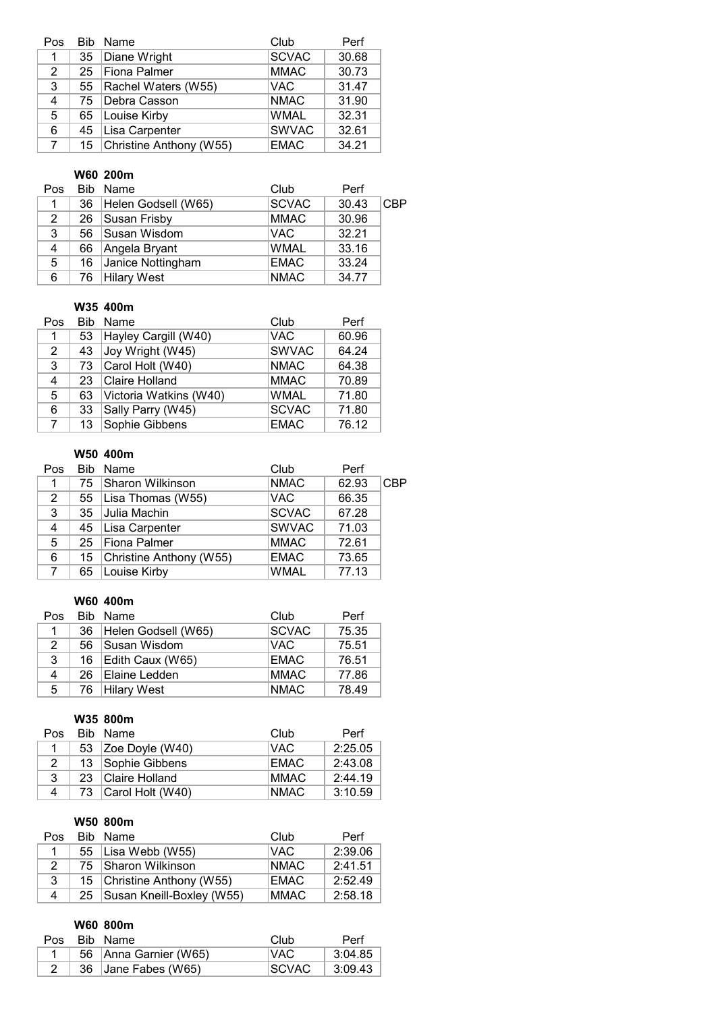| Pos         |    | Bib Name                   | Club         | Perf  |
|-------------|----|----------------------------|--------------|-------|
| 1.          | 35 | Diane Wright               | <b>SCVAC</b> | 30.68 |
| 2           |    | 25 Fiona Palmer            | <b>MMAC</b>  | 30.73 |
| 3           |    | 55   Rachel Waters (W55)   | <b>VAC</b>   | 31.47 |
| 4           | 75 | Debra Casson               | <b>NMAC</b>  | 31.90 |
| 5           | 65 | Louise Kirby               | <b>WMAL</b>  | 32.31 |
| 6           | 45 | Lisa Carpenter             | <b>SWVAC</b> | 32.61 |
| $7^{\circ}$ |    | 15 Christine Anthony (W55) | <b>EMAC</b>  | 34.21 |

# **W60 200m**

| Pos            |    | Bib Name            | Club         | Perf  |            |
|----------------|----|---------------------|--------------|-------|------------|
| 1              | 36 | Helen Godsell (W65) | <b>SCVAC</b> | 30.43 | <b>CBP</b> |
| $\mathbf{2}$   | 26 | Susan Frisby        | <b>MMAC</b>  | 30.96 |            |
| 3              | 56 | Susan Wisdom        | <b>VAC</b>   | 32.21 |            |
| $\overline{4}$ | 66 | Angela Bryant       | <b>WMAL</b>  | 33.16 |            |
| 5              | 16 | Janice Nottingham   | <b>EMAC</b>  | 33.24 |            |
| 6              | 76 | Hilary West         | <b>NMAC</b>  | 34.77 |            |

#### **W35 400m**

| Pos                   | <b>Bib</b> | Name                   | Club         | Perf  |
|-----------------------|------------|------------------------|--------------|-------|
| 1                     | 53         | Hayley Cargill (W40)   | <b>VAC</b>   | 60.96 |
| $\mathbf{2}^{\prime}$ | 43         | Joy Wright (W45)       | <b>SWVAC</b> | 64.24 |
| 3                     | 73         | Carol Holt (W40)       | <b>NMAC</b>  | 64.38 |
| 4                     | 23         | Claire Holland         | <b>MMAC</b>  | 70.89 |
| 5                     | 63         | Victoria Watkins (W40) | <b>WMAL</b>  | 71.80 |
| 6                     | 33         | Sally Parry (W45)      | <b>SCVAC</b> | 71.80 |
| $7^{\circ}$           | 13         | Sophie Gibbens         | <b>EMAC</b>  | 76.12 |

# **W50 400m**

| Pos            |    | Bib Name                     | Club         | Perf  |     |
|----------------|----|------------------------------|--------------|-------|-----|
|                | 75 | Sharon Wilkinson             | <b>NMAC</b>  | 62.93 | CBP |
| $\overline{2}$ |    | 55   Lisa Thomas (W55)       | <b>VAC</b>   | 66.35 |     |
| 3              | 35 | Julia Machin                 | <b>SCVAC</b> | 67.28 |     |
| 4              |    | 45   Lisa Carpenter          | <b>SWVAC</b> | 71.03 |     |
| 5              |    | 25   Fiona Palmer            | <b>MMAC</b>  | 72.61 |     |
| 6              |    | 15   Christine Anthony (W55) | <b>EMAC</b>  | 73.65 |     |
| $7^{\circ}$    | 65 | Louise Kirby                 | <b>WMAL</b>  | 77.13 |     |

#### **W60 400m**

| Pos          |     | Bib Name              | Club         | Perf  |
|--------------|-----|-----------------------|--------------|-------|
| $\mathbf{1}$ | 36  | Helen Godsell (W65)   | <b>SCVAC</b> | 75.35 |
| 2            | 56  | Susan Wisdom          | IVAC.        | 75.51 |
| 3            |     | 16   Edith Caux (W65) | <b>EMAC</b>  | 76.51 |
| 4            | 26. | Elaine Ledden         | <b>MMAC</b>  | 77.86 |
| 5            |     | 76 Hilary West        | <b>NMAC</b>  | 78.49 |

## **W35 800m**

| Pos. |    | Bib Name              | Club        | Perf    |
|------|----|-----------------------|-------------|---------|
|      | 53 | $ Zoe$ Doyle (W40)    | VAC.        | 2:25.05 |
| 2    | 13 | Sophie Gibbens        | <b>EMAC</b> | 2:43.08 |
| 3    |    | 23 Claire Holland     | <b>MMAC</b> | 2:44.19 |
| 4    |    | 73   Carol Holt (W40) | <b>NMAC</b> | 3:10.59 |

# **W50 800m**

| Pos | Bib Name                       | Club        | Perf    |
|-----|--------------------------------|-------------|---------|
|     | 55   Lisa Webb (W55)           | VAC.        | 2:39.06 |
| 2   | 75   Sharon Wilkinson          | <b>NMAC</b> | 2:41.51 |
| 3   | 15 Christine Anthony (W55)     | <b>EMAC</b> | 2:52.49 |
| 4   | 25   Susan Kneill-Boxley (W55) | <b>MMAC</b> | 2:58.18 |

#### **W60 800m**

| Pos | Bib Name                | Club    | Perf    |
|-----|-------------------------|---------|---------|
|     | 56   Anna Garnier (W65) | VAC.    | 3:04.85 |
|     | 36 Jane Fabes (W65)     | ⊧SCVAC. | 3:09.43 |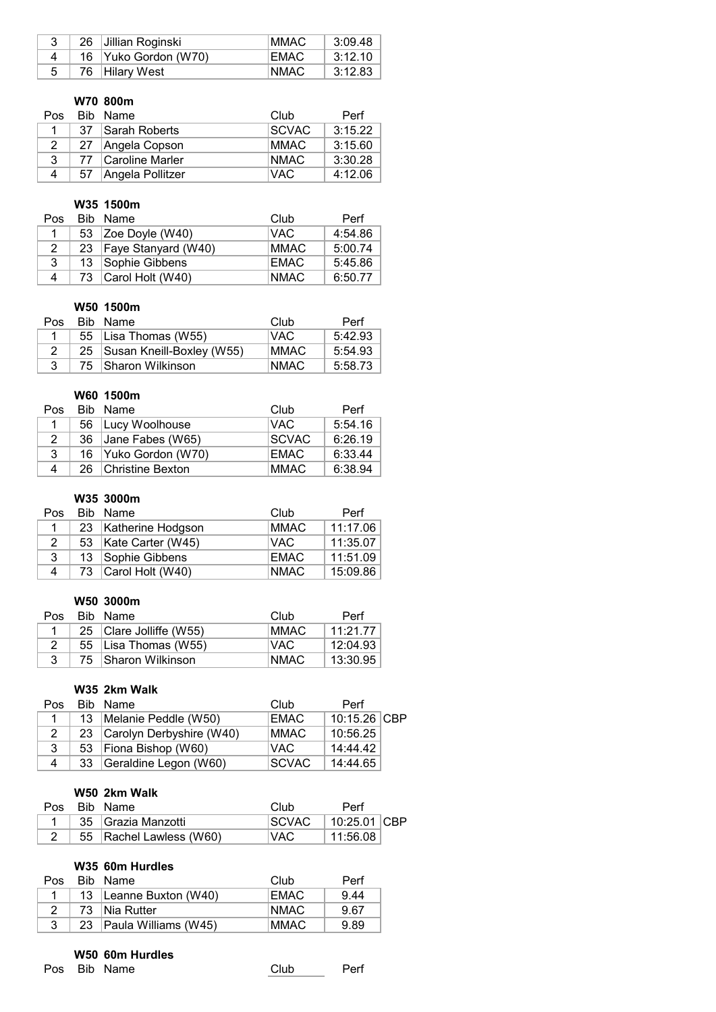| 26 | ∣Jillian Roginski    | <b>IMMAC</b> | 3:09.48 |
|----|----------------------|--------------|---------|
|    | 16 Yuko Gordon (W70) | <b>EMAC</b>  | 3:12.10 |
|    | 76   Hilary West     | NMAC.        | 3:12.83 |

# **W70 800m**

| Pos.           |    | Bib Name         | Club          | Perf    |
|----------------|----|------------------|---------------|---------|
|                | 37 | Sarah Roberts    | <b>ISCVAC</b> | 3:15.22 |
| $\overline{2}$ | 27 | Angela Copson    | <b>MMAC</b>   | 3:15.60 |
| 3              | 77 | Caroline Marler  | <b>NMAC</b>   | 3:30.28 |
|                | 57 | Angela Pollitzer | IVAC.         | 4:12.06 |

# **W35 1500m**

| Pos. |    | Bib Name                 | Club        | Perf    |
|------|----|--------------------------|-------------|---------|
|      | 53 | $\vert$ Zoe Doyle (W40)  | VAC.        | 4:54.86 |
| 2    |    | 23   Faye Stanyard (W40) | <b>MMAC</b> | 5:00.74 |
| 3    | 13 | Sophie Gibbens           | <b>EMAC</b> | 5:45.86 |
| 4    |    | 73 Carol Holt (W40)      | <b>NMAC</b> | 6:50.77 |

#### **W50 1500m**

| Pos | Bib Name                       | Club        | Perf    |
|-----|--------------------------------|-------------|---------|
|     | 55   Lisa Thomas (W55)         | IVAC.       | 5:42.93 |
|     | 25   Susan Kneill-Boxley (W55) | MMAC.       | 5:54.93 |
|     | 75 Sharon Wilkinson            | <b>NMAC</b> | 5:58.73 |

## **W60 1500m**

| Pos |    | Bib Name               | Club         | Perf    |
|-----|----|------------------------|--------------|---------|
|     |    | 56   Lucy Woolhouse    | IVAC.        | 5:54.16 |
| 2   | 36 | Jane Fabes (W65)       | <b>SCVAC</b> | 6:26.19 |
| 3   |    | 16   Yuko Gordon (W70) | EMAC.        | 6:33.44 |
| 4   |    | 26 Christine Bexton    | <b>MMAC</b>  | 6:38.94 |

# **W35 3000m**

| Pos. | Bib Name               | Club        | Perf     |
|------|------------------------|-------------|----------|
|      | 23 Katherine Hodgson   | <b>MMAC</b> | 11:17.06 |
| 2    | 53   Kate Carter (W45) | VAC.        | 11:35.07 |
| 3    | 13 Sophie Gibbens      | <b>EMAC</b> | 11:51.09 |
| 4    | 73 Carol Holt (W40)    | <b>NMAC</b> | 15:09.86 |

## **W50 3000m**

| Pos. | Bib Name                | Club        | Perf     |
|------|-------------------------|-------------|----------|
|      | 25 Clare Jolliffe (W55) | MMAC.       | 11.217   |
|      | 55   Lisa Thomas (W55)  | ⊥VAC        | 12:04.93 |
|      | 75 Sharon Wilkinson     | <b>NMAC</b> | 13:30.95 |

#### **W35 2km Walk**

| Pos. |    | Bib Name                    | Club          | Perf         |  |
|------|----|-----------------------------|---------------|--------------|--|
|      | 13 | Melanie Peddle (W50)        | <b>EMAC</b>   | 10:15.26 CBP |  |
|      |    | 23 Carolyn Derbyshire (W40) | <b>MMAC</b>   | 10:56.25     |  |
| 3    | 53 | Fiona Bishop (W60)          | IVAC.         | 14:44.42     |  |
| 4    | 33 | Geraldine Legon (W60)       | <b>ISCVAC</b> | 14:44.65     |  |

# **W50 2km Walk**

|  | Pos Bib Name              | Club    | Perf               |  |
|--|---------------------------|---------|--------------------|--|
|  | 35 Grazia Manzotti        | ISCVAC. | $\pm$ 10:25.01 CBP |  |
|  | 55   Rachel Lawless (W60) | VAC     | 11:56.08           |  |

## **W35 60m Hurdles**

| Pos | Bib Name                 | Club  | Perf |
|-----|--------------------------|-------|------|
|     | 13   Leanne Buxton (W40) | EMAC  | 9.44 |
|     | 73 Nia Rutter            | NMAC. | 9.67 |
|     | 23 Paula Williams (W45)  | MMAC. | 9.89 |

#### **W50 60m Hurdles**

Pos Bib Name Club Perf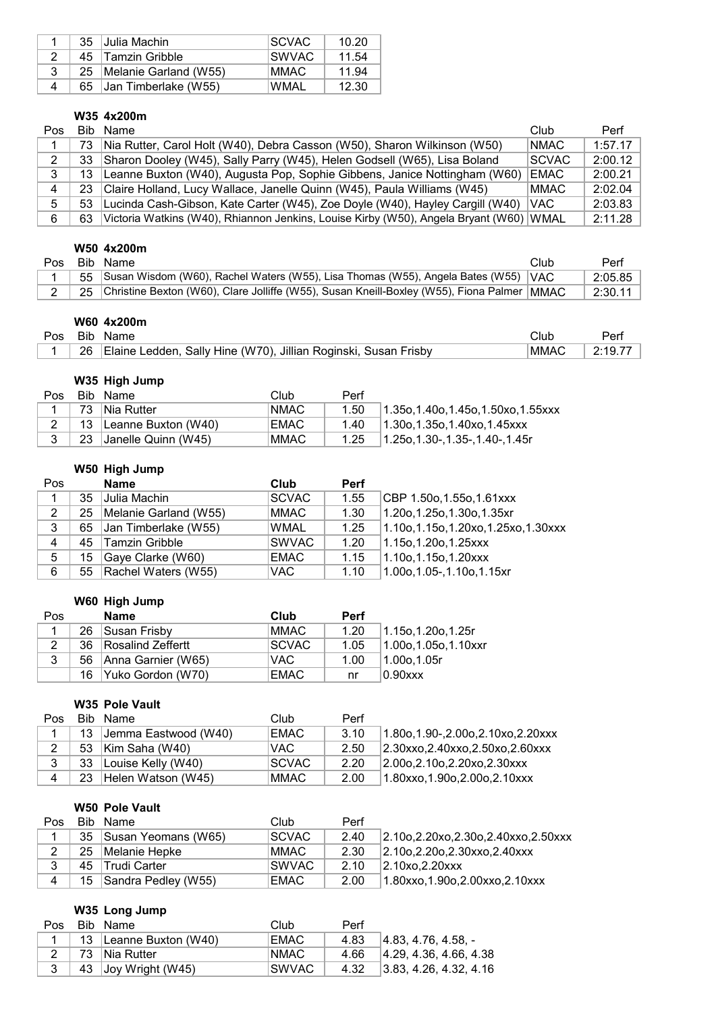|   |     | 35 Julia Machin            | <b>ISCVAC</b> | 10.20 |
|---|-----|----------------------------|---------------|-------|
|   |     | 45 Tamzin Gribble          | ISWVAC.       | 11.54 |
|   |     | 25   Melanie Garland (W55) | MMAC.         | 11.94 |
| 4 | 65. | Uan Timberlake (W55)       | WMAL          | 12.30 |

## **W35 4x200m**

| Pos |     | Bib Name                                                                                 | Club         | Perf    |
|-----|-----|------------------------------------------------------------------------------------------|--------------|---------|
|     | 73. | Nia Rutter, Carol Holt (W40), Debra Casson (W50), Sharon Wilkinson (W50)                 | <b>NMAC</b>  | 1:57.17 |
|     | 33  | Sharon Dooley (W45), Sally Parry (W45), Helen Godsell (W65), Lisa Boland                 | <b>SCVAC</b> | 2:00.12 |
| 3   |     | 13   Leanne Buxton (W40), Augusta Pop, Sophie Gibbens, Janice Nottingham (W60)           | <b>EMAC</b>  | 2:00.21 |
| 4   |     | 23   Claire Holland, Lucy Wallace, Janelle Quinn (W45), Paula Williams (W45)             | <b>MMAC</b>  | 2:02.04 |
| 5.  |     | 53 Lucinda Cash-Gibson, Kate Carter (W45), Zoe Doyle (W40), Hayley Cargill (W40)         | IVAC.        | 2:03.83 |
| 6   | 63  | Victoria Watkins (W40), Rhiannon Jenkins, Louise Kirby (W50), Angela Bryant (W60)   WMAL |              | 2:11.28 |

## **W50 4x200m**

| Pos. | Bib Name                                                                                       | Club | Perf    |
|------|------------------------------------------------------------------------------------------------|------|---------|
|      | 55 Susan Wisdom (W60), Rachel Waters (W55), Lisa Thomas (W55), Angela Bates (W55) VAC          |      | 2:05.85 |
|      | 25 Christine Bexton (W60), Clare Jolliffe (W55), Susan Kneill-Boxley (W55), Fiona Palmer  MMAC |      | 2:30.11 |

# **W60 4x200m**

| <b>Pos</b> | Bib | Name                                                                    | Clut        | יen |
|------------|-----|-------------------------------------------------------------------------|-------------|-----|
|            | 26  | : Ledden, Sally Hine (W70), Jillian Roginski, Susan Frisby<br>⊺Elaine L | <b>MMAC</b> |     |

# **W35 High Jump**

|  | Pos Bib Name                 | Club        | Perf |                                   |
|--|------------------------------|-------------|------|-----------------------------------|
|  | 73 Nia Rutter                | NMAC        | 1.50 | 1.35o.1.40o.1.45o.1.50xo.1.55xxx  |
|  | 2   13   Leanne Buxton (W40) | EMAC        | 1.40 | $1.30$ o.1.35o.1.40xo.1.45xxx     |
|  | 23 Janelle Quinn (W45)       | <b>MMAC</b> | 1.25 | $11.25$ o.1.30-.1.35-.1.40-.1.45r |

# **W50 High Jump**

| Pos |    | <b>Name</b>                | Club              | <b>Perf</b> |                                          |
|-----|----|----------------------------|-------------------|-------------|------------------------------------------|
| 1   | 35 | Julia Machin               | SCVAC             | 1.55        | CBP 1.50o, 1.55o, 1.61xxx                |
| 2   |    | 25   Melanie Garland (W55) | MMAC <sup>1</sup> | 1.30        | $1.20$ o, 1.25o, 1.30o, 1.35xr           |
| 3   |    | 65 Jan Timberlake (W55)    | <b>WMAL</b>       | 1.25        | $1.10$ o, 1.15o, 1.20xo, 1.25xo, 1.30xxx |
| 4   | 45 | Tamzin Gribble             | <b>ISWVAC</b>     | 1.20        | $1.15$ o, 1.20o, 1.25xxx                 |
| 5   | 15 | Gaye Clarke (W60)          | EMAC              | 1.15        | $1.10$ o, 1.15o, 1.20xxx                 |
| 6   |    | 55   Rachel Waters (W55)   | <b>VAC</b>        | 1.10        | $1.00$ o, 1.05-, 1.10o, 1.15xr           |

## **W60 High Jump**

| Pos |    | Name                    | Club          | <b>Perf</b> |                          |
|-----|----|-------------------------|---------------|-------------|--------------------------|
|     | 26 | Susan Frisby            | <b>MMAC</b>   | 1.20        | $1.15$ o, 1.20o, 1.25r   |
|     | 36 | Rosalind Zeffertt       | <b>ISCVAC</b> | 1.05        | $1.00$ o, 1.05o, 1.10xxr |
| 3   |    | 56   Anna Garnier (W65) | VAC.          | 1.00        | $1.00$ o.1.05r           |
|     |    | 16 Yuko Gordon (W70)    | EMAC          | nr          | 0.90xxx                  |

# **W35 Pole Vault**

| Pos            | Bib Name                | Club          | Perf |                                         |
|----------------|-------------------------|---------------|------|-----------------------------------------|
|                | 13 Jemma Eastwood (W40) | EMAC          | 3.10 | $1.80$ o, 1.90-, 2.00o, 2.10xo, 2.20xxx |
|                | 53   Kim Saha (W40)     | VAC           | 2.50 | 2.30xxo, 2.40xxo, 2.50xo, 2.60xxx       |
|                | 33 Louise Kelly (W40)   | <b>ISCVAC</b> | 2.20 | 2.00o, 2.10o, 2.20xo, 2.30xxx           |
| $\overline{4}$ | 23 Helen Watson (W45)   | IMMAC .       | 2.00 | $1.80$ xxo, 1.90o, 2.00o, 2.10xxx       |

#### **W50 Pole Vault**

| Pos |    | Bib Name            | Club         | Perf |                                           |
|-----|----|---------------------|--------------|------|-------------------------------------------|
|     | 35 | Susan Yeomans (W65) | <b>SCVAC</b> | 2.40 | $2.10$ o, 2.20xo, 2.30o, 2.40xxo, 2.50xxx |
| 2   | 25 | Melanie Hepke       | MMAC .       | 2.30 | 2.10o, 2.20o, 2.30xxo, 2.40xxx            |
| 3   | 45 | ∣Trudi Carter       | ISWVAC I     | 2.10 | 2.10x <sub>0</sub> , 2.20x                |
| 4   | 15 | Sandra Pedley (W55) | EMAC         | 2.00 | $1.80$ xxo, 1.90o, 2.00xxo, 2.10xxx       |

# **W35 Long Jump**

| Pos | Bib Name               | Club          | Perf |                                  |
|-----|------------------------|---------------|------|----------------------------------|
|     | 13 Leanne Buxton (W40) | <b>EMAC</b>   | 4.83 | $ 4.83, 4.76, 4.58, -$           |
|     | 73 Nia Rutter          | <b>NMAC</b>   | 4.66 | 4.29, 4.36, 4.66, 4.38           |
|     | 43 Joy Wright (W45)    | <b>ISWVAC</b> | 4.32 | $ 3.83, 4.26, 4.32, 4.16\rangle$ |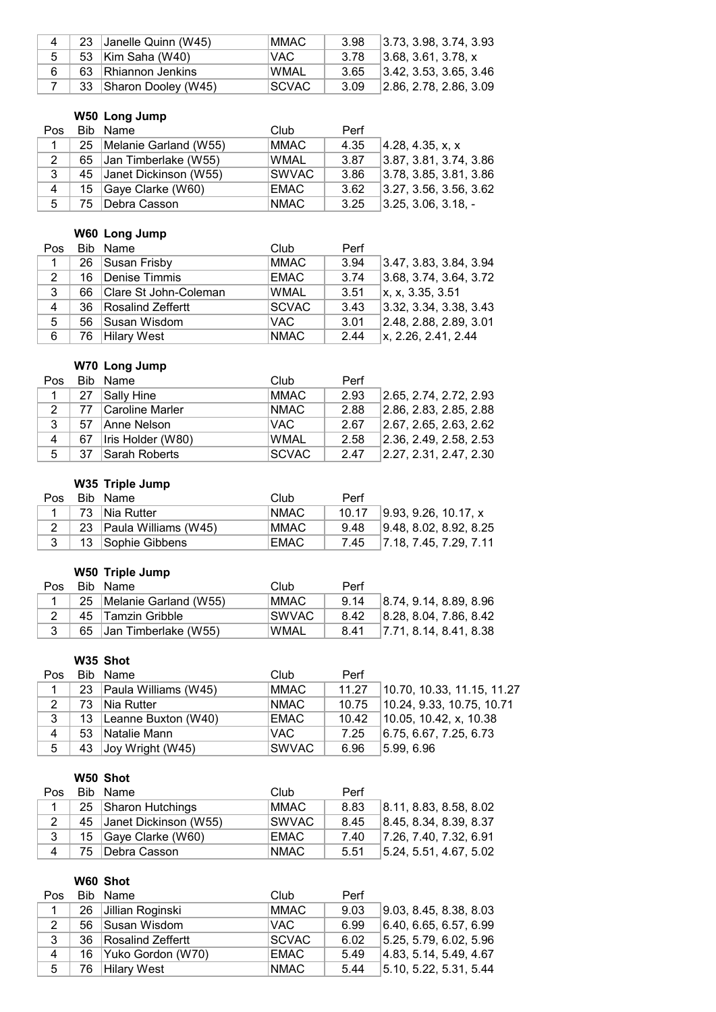| $\mathbf 4$ | 23 Janelle Quinn (W45) | <b>MMAC</b> | 3.98 | $ 3.73, 3.98, 3.74, 3.93\rangle$ |
|-------------|------------------------|-------------|------|----------------------------------|
| 5           | 53 Kim Saha (W40)      | VAC.        | 3.78 | 3.68, 3.61, 3.78, x              |
|             | 63 Rhiannon Jenkins    | WMAL        | 3.65 | 3.42, 3.53, 3.65, 3.46           |
|             | 33 Sharon Dooley (W45) | ISCVAC.     | 3.09 | $ 2.86, 2.78, 2.86, 3.09\rangle$ |

# **W50 Long Jump**

| Pos |    | Bib Name                 | Club        | Perf |                        |
|-----|----|--------------------------|-------------|------|------------------------|
|     | 25 | Melanie Garland (W55)    | MMAC        | 4.35 | 4.28, 4.35, x, x       |
| 2   |    | 65 Jan Timberlake (W55)  | <b>WMAL</b> | 3.87 | 3.87, 3.81, 3.74, 3.86 |
| 3   |    | 45 Janet Dickinson (W55) | SWVAC_      | 3.86 | 3.78, 3.85, 3.81, 3.86 |
| 4   |    | 15 Gaye Clarke (W60)     | EMAC        | 3.62 | 3.27, 3.56, 3.56, 3.62 |
| -5  |    | 75   Debra Casson        | <b>NMAC</b> | 3.25 | $ 3.25, 3.06, 3.18, -$ |

# **W60 Long Jump**

| Pos |      | Bib Name                 | Club         | Perf |                        |
|-----|------|--------------------------|--------------|------|------------------------|
|     |      | 26 Susan Frisby          | <b>MMAC</b>  | 3.94 | 3.47, 3.83, 3.84, 3.94 |
| 2   | - 16 | Denise Timmis            | EMAC         | 3.74 | 3.68, 3.74, 3.64, 3.72 |
| 3   |      | 66 Clare St John-Coleman | <b>WMAL</b>  | 3.51 | x, x, 3.35, 3.51       |
| 4   |      | 36   Rosalind Zeffertt   | <b>SCVAC</b> | 3.43 | 3.32, 3.34, 3.38, 3.43 |
| 5   |      | 56 Susan Wisdom          | <b>VAC</b>   | 3.01 | 2.48, 2.88, 2.89, 3.01 |
| 6   |      | 76 Hilary West           | <b>NMAC</b>  | 2.44 | x, 2.26, 2.41, 2.44    |

# **W70 Long Jump**

| <b>Pos</b>   | Bib Name               | Club         | Perf |                        |
|--------------|------------------------|--------------|------|------------------------|
|              | 27 Sally Hine          | <b>MMAC</b>  | 2.93 | 2.65, 2.74, 2.72, 2.93 |
| 2            | 77 Caroline Marler     | <b>NMAC</b>  | 2.88 | 2.86, 2.83, 2.85, 2.88 |
| $\mathbf{3}$ | 57 Anne Nelson         | VAC.         | 2.67 | 2.67, 2.65, 2.63, 2.62 |
| 4            | 67   Iris Holder (W80) | <b>WMAL</b>  | 2.58 | 2.36, 2.49, 2.58, 2.53 |
| 5            | 37 Sarah Roberts       | <b>SCVAC</b> | 2.47 | 2.27, 2.31, 2.47, 2.30 |

# **W35 Triple Jump**

| Pos. | Bib Name                | Club        | Perf  |                             |
|------|-------------------------|-------------|-------|-----------------------------|
|      | 73 Nia Rutter           | <b>NMAC</b> | 10.17 | 9.93, 9.26, 10.17, x        |
|      | 23 Paula Williams (W45) | MMAC .      | 9.48  | 9.48, 8.02, 8.92, 8.25      |
|      | 13 Sophie Gibbens       | <b>EMAC</b> |       | 7.45 7.18, 7.45, 7.29, 7.11 |

# **W50 Triple Jump**

|  | Pos Bib Name               | Club        | Perf |                        |
|--|----------------------------|-------------|------|------------------------|
|  | 25   Melanie Garland (W55) | <b>MMAC</b> | 914  | 8.74, 9.14, 8.89, 8.96 |
|  | 45 Tamzin Gribble          | ISWVAC.     | 8.42 | 8.28. 8.04. 7.86. 8.42 |
|  | 65 Jan Timberlake (W55)    | WMAL        | 8.41 | 7.71, 8.14, 8.41, 8.38 |

# **W35 Shot**

| Pos          |    | Bib Name                | Club          | Perf  |                                |
|--------------|----|-------------------------|---------------|-------|--------------------------------|
|              |    | 23 Paula Williams (W45) | MMAC          | 11.27 | 10.70, 10.33, 11.15, 11.27     |
| 2            | 73 | <b>Nia Rutter</b>       | <b>NMAC</b>   | 10.75 | 10.24, 9.33, 10.75, 10.71      |
| $\mathbf{3}$ | 13 | Leanne Buxton (W40)     | <b>EMAC</b>   |       | 10.42   10.05, 10.42, x, 10.38 |
| 4            | 53 | Natalie Mann            | VAC.          | 7.25  | 6.75, 6.67, 7.25, 6.73         |
| 5            | 43 | $ $ Joy Wright (W45)    | <b>ISWVAC</b> | 6.96  | 15.99. 6.96                    |

# **W50 Shot**

|                | Pos Bib Name             | Club    | Perf |                                |
|----------------|--------------------------|---------|------|--------------------------------|
|                | 25 Sharon Hutchings      | IMMAC . | 8.83 | 8.11, 8.83, 8.58, 8.02         |
| 2 <sup>1</sup> | 45 Janet Dickinson (W55) | ISWVAC. | 8.45 | 8.45, 8.34, 8.39, 8.37         |
|                | 15 Gaye Clarke (W60)     | EMAC    | 7.40 | $\vert$ 7.26, 7.40, 7.32, 6.91 |
|                | 4 75 Debra Casson        | NMAC    | 5.51 | 5.24, 5.51, 4.67, 5.02         |

# **W60 Shot**

| <b>Pos</b> |     | Bib Name          | Club         | Perf |                        |
|------------|-----|-------------------|--------------|------|------------------------|
|            | 26  | Jillian Roginski  | <b>MMAC</b>  | 9.03 | 9.03, 8.45, 8.38, 8.03 |
| 2          | -56 | Susan Wisdom      | VAC.         | 6.99 | 6.40, 6.65, 6.57, 6.99 |
| 3          | 36  | Rosalind Zeffertt | <b>SCVAC</b> | 6.02 | 5.25, 5.79, 6.02, 5.96 |
| 4          | 16  | Yuko Gordon (W70) | <b>EMAC</b>  | 5.49 | 4.83, 5.14, 5.49, 4.67 |
| 5          |     | 76 Hilary West    | <b>NMAC</b>  | 5.44 | 5.10, 5.22, 5.31, 5.44 |